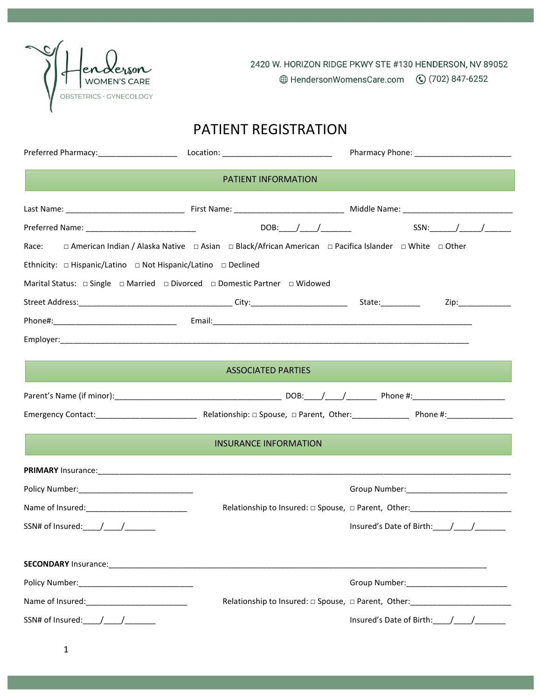

2420 W. HORIZON RIDGE PKWY STE #130 HENDERSON, NV 89052

# PATIENT REGISTRATION

|                                                                                                                                                                                                                                                                                                                                                                                                                   | <b>PATIENT INFORMATION</b>                                                                             |                                                                                          |
|-------------------------------------------------------------------------------------------------------------------------------------------------------------------------------------------------------------------------------------------------------------------------------------------------------------------------------------------------------------------------------------------------------------------|--------------------------------------------------------------------------------------------------------|------------------------------------------------------------------------------------------|
|                                                                                                                                                                                                                                                                                                                                                                                                                   |                                                                                                        |                                                                                          |
|                                                                                                                                                                                                                                                                                                                                                                                                                   |                                                                                                        |                                                                                          |
| Race:                                                                                                                                                                                                                                                                                                                                                                                                             | □ American Indian / Alaska Native □ Asian □ Black/African American □ Pacifica Islander □ White □ Other |                                                                                          |
|                                                                                                                                                                                                                                                                                                                                                                                                                   |                                                                                                        |                                                                                          |
|                                                                                                                                                                                                                                                                                                                                                                                                                   |                                                                                                        |                                                                                          |
|                                                                                                                                                                                                                                                                                                                                                                                                                   |                                                                                                        | Zip:______________                                                                       |
|                                                                                                                                                                                                                                                                                                                                                                                                                   |                                                                                                        |                                                                                          |
|                                                                                                                                                                                                                                                                                                                                                                                                                   |                                                                                                        |                                                                                          |
|                                                                                                                                                                                                                                                                                                                                                                                                                   | <b>ASSOCIATED PARTIES</b>                                                                              |                                                                                          |
|                                                                                                                                                                                                                                                                                                                                                                                                                   |                                                                                                        |                                                                                          |
|                                                                                                                                                                                                                                                                                                                                                                                                                   |                                                                                                        |                                                                                          |
|                                                                                                                                                                                                                                                                                                                                                                                                                   | <b>INSURANCE INFORMATION</b>                                                                           |                                                                                          |
| PRIMARY Insurance: 1990 Contract Contract Contract Contract Contract Contract Contract Contract Contract Contract Contract Contract Contract Contract Contract Contract Contract Contract Contract Contract Contract Contract                                                                                                                                                                                     |                                                                                                        |                                                                                          |
|                                                                                                                                                                                                                                                                                                                                                                                                                   |                                                                                                        |                                                                                          |
|                                                                                                                                                                                                                                                                                                                                                                                                                   |                                                                                                        | Relationship to Insured: $\Box$ Spouse, $\Box$ Parent, Other: ______________________     |
| SSN# of Insured: $\frac{1}{\sqrt{1-\frac{1}{2}}}\frac{1}{\sqrt{1-\frac{1}{2}}}\frac{1}{\sqrt{1-\frac{1}{2}}}\frac{1}{\sqrt{1-\frac{1}{2}}}\frac{1}{\sqrt{1-\frac{1}{2}}}\frac{1}{\sqrt{1-\frac{1}{2}}}\frac{1}{\sqrt{1-\frac{1}{2}}}\frac{1}{\sqrt{1-\frac{1}{2}}}\frac{1}{\sqrt{1-\frac{1}{2}}}\frac{1}{\sqrt{1-\frac{1}{2}}}\frac{1}{\sqrt{1-\frac{1}{2}}}\frac{1}{\sqrt{1-\frac{1}{2}}}\frac{1}{\sqrt{1-\frac$ |                                                                                                        | Insured's Date of Birth: $\frac{1}{\sqrt{1-\frac{1}{2}}}\frac{1}{\sqrt{1-\frac{1}{2}}}}$ |
|                                                                                                                                                                                                                                                                                                                                                                                                                   |                                                                                                        |                                                                                          |
|                                                                                                                                                                                                                                                                                                                                                                                                                   |                                                                                                        |                                                                                          |
|                                                                                                                                                                                                                                                                                                                                                                                                                   |                                                                                                        |                                                                                          |
|                                                                                                                                                                                                                                                                                                                                                                                                                   |                                                                                                        | Relationship to Insured: $\Box$ Spouse, $\Box$ Parent, Other: _______________________    |
| SSN# of Insured: _____/_____/________                                                                                                                                                                                                                                                                                                                                                                             |                                                                                                        |                                                                                          |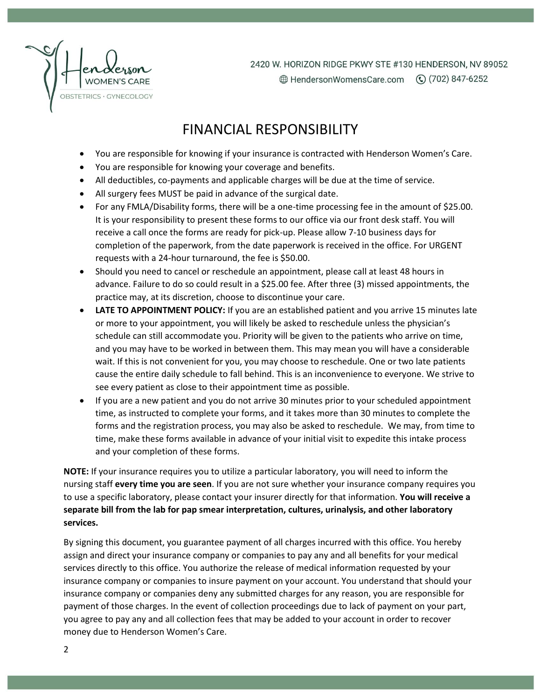

2420 W. HORIZON RIDGE PKWY STE #130 HENDERSON, NV 89052 **A** HendersonWomensCare.com (♦) (702) 847-6252

## FINANCIAL RESPONSIBILITY

- You are responsible for knowing if your insurance is contracted with Henderson Women's Care.
- You are responsible for knowing your coverage and benefits.
- All deductibles, co-payments and applicable charges will be due at the time of service.
- All surgery fees MUST be paid in advance of the surgical date.
- For any FMLA/Disability forms, there will be a one-time processing fee in the amount of \$25.00. It is your responsibility to present these forms to our office via our front desk staff. You will receive a call once the forms are ready for pick-up. Please allow 7-10 business days for completion of the paperwork, from the date paperwork is received in the office. For URGENT requests with a 24-hour turnaround, the fee is \$50.00.
- Should you need to cancel or reschedule an appointment, please call at least 48 hours in advance. Failure to do so could result in a \$25.00 fee. After three (3) missed appointments, the practice may, at its discretion, choose to discontinue your care.
- **LATE TO APPOINTMENT POLICY:** If you are an established patient and you arrive 15 minutes late or more to your appointment, you will likely be asked to reschedule unless the physician's schedule can still accommodate you. Priority will be given to the patients who arrive on time, and you may have to be worked in between them. This may mean you will have a considerable wait. If this is not convenient for you, you may choose to reschedule. One or two late patients cause the entire daily schedule to fall behind. This is an inconvenience to everyone. We strive to see every patient as close to their appointment time as possible.
- If you are a new patient and you do not arrive 30 minutes prior to your scheduled appointment time, as instructed to complete your forms, and it takes more than 30 minutes to complete the forms and the registration process, you may also be asked to reschedule. We may, from time to time, make these forms available in advance of your initial visit to expedite this intake process and your completion of these forms.

**NOTE:** If your insurance requires you to utilize a particular laboratory, you will need to inform the nursing staff **every time you are seen**. If you are not sure whether your insurance company requires you to use a specific laboratory, please contact your insurer directly for that information. **You will receive a separate bill from the lab for pap smear interpretation, cultures, urinalysis, and other laboratory services.**

By signing this document, you guarantee payment of all charges incurred with this office. You hereby assign and direct your insurance company or companies to pay any and all benefits for your medical services directly to this office. You authorize the release of medical information requested by your insurance company or companies to insure payment on your account. You understand that should your insurance company or companies deny any submitted charges for any reason, you are responsible for payment of those charges. In the event of collection proceedings due to lack of payment on your part, you agree to pay any and all collection fees that may be added to your account in order to recover money due to Henderson Women's Care.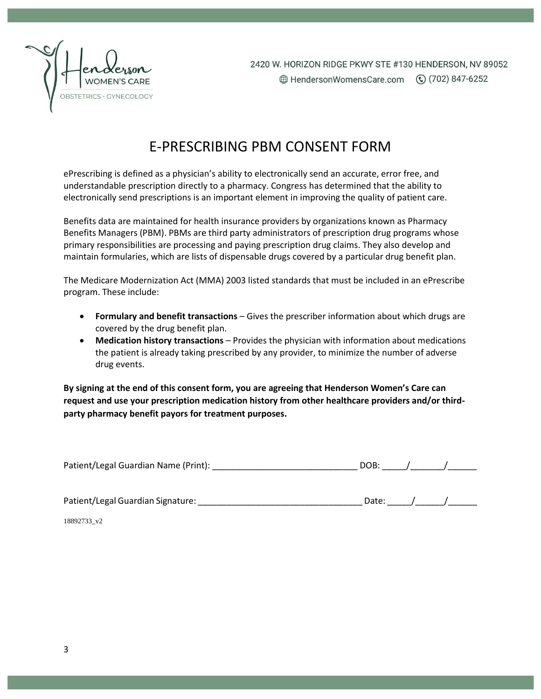

# E-PRESCRIBING PBM CONSENT FORM

ePrescribing is defined as a physician's ability to electronically send an accurate, error free, and understandable prescription directly to a pharmacy. Congress has determined that the ability to electronically send prescriptions is an important element in improving the quality of patient care.

Benefits data are maintained for health insurance providers by organizations known as Pharmacy Benefits Managers (PBM). PBMs are third party administrators of prescription drug programs whose primary responsibilities are processing and paying prescription drug claims. They also develop and maintain formularies, which are lists of dispensable drugs covered by a particular drug benefit plan.

The Medicare Modernization Act (MMA) 2003 listed standards that must be included in an ePrescribe program. These include:

- **Formulary and benefit transactions** Gives the prescriber information about which drugs are covered by the drug benefit plan.
- **Medication history transactions**  Provides the physician with information about medications the patient is already taking prescribed by any provider, to minimize the number of adverse drug events.

**By signing at the end of this consent form, you are agreeing that Henderson Women's Care can request and use your prescription medication history from other healthcare providers and/or thirdparty pharmacy benefit payors for treatment purposes.**

| Patient/Legal Guardian Name (Print): |  |  |  |
|--------------------------------------|--|--|--|
|--------------------------------------|--|--|--|

Patient/Legal Guardian Signature: \_\_\_\_\_\_\_\_\_\_\_\_\_\_\_\_\_\_\_\_\_\_\_\_\_\_\_\_\_\_\_\_\_\_ Date: \_\_\_\_\_/\_\_\_\_\_\_/\_\_\_\_\_\_

18892733\_v2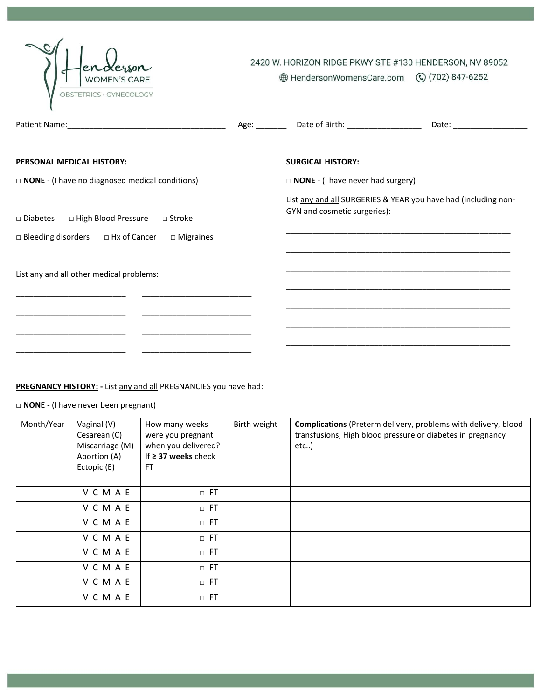| OBSTETRICS · GYNECOLOGY                                                                                           |               | 2420 W. HORIZON RIDGE PKWY STE #130 HENDERSON, NV 89052<br>⊕ HendersonWomensCare.com (○ (702) 847-6252 |                                                                                                                                                                                        |
|-------------------------------------------------------------------------------------------------------------------|---------------|--------------------------------------------------------------------------------------------------------|----------------------------------------------------------------------------------------------------------------------------------------------------------------------------------------|
|                                                                                                                   | Age: ________ | Date of Birth: _____________________                                                                   |                                                                                                                                                                                        |
| PERSONAL MEDICAL HISTORY:                                                                                         |               | <b>SURGICAL HISTORY:</b>                                                                               |                                                                                                                                                                                        |
| $\Box$ NONE - (I have no diagnosed medical conditions)                                                            |               | $\Box$ <b>NONE</b> - (I have never had surgery)                                                        |                                                                                                                                                                                        |
| □ Diabetes □ High Blood Pressure □ Stroke<br>$\Box$ Bleeding disorders $\Box$ Hx of Cancer<br>$\square$ Migraines |               | GYN and cosmetic surgeries):                                                                           | List any and all SURGERIES & YEAR you have had (including non-<br><u> 1980 - Johann John Harry Harry Harry Harry Harry Harry Harry Harry Harry Harry Harry Harry Harry Harry Harry</u> |
| List any and all other medical problems:                                                                          |               |                                                                                                        |                                                                                                                                                                                        |
|                                                                                                                   |               |                                                                                                        |                                                                                                                                                                                        |
|                                                                                                                   |               |                                                                                                        |                                                                                                                                                                                        |
|                                                                                                                   |               |                                                                                                        |                                                                                                                                                                                        |

### **PREGNANCY HISTORY: -** List any and all PREGNANCIES you have had:

□ **NONE** - (I have never been pregnant)

| Month/Year | Vaginal (V)<br>Cesarean (C)<br>Miscarriage (M)<br>Abortion (A)<br>Ectopic (E) | How many weeks<br>were you pregnant<br>when you delivered?<br>If $\geq$ 37 weeks check<br>FT | Birth weight | Complications (Preterm delivery, problems with delivery, blood<br>transfusions, High blood pressure or diabetes in pregnancy<br>etc) |
|------------|-------------------------------------------------------------------------------|----------------------------------------------------------------------------------------------|--------------|--------------------------------------------------------------------------------------------------------------------------------------|
|            | VCMAE                                                                         | $\Box$ FT                                                                                    |              |                                                                                                                                      |
|            | VCMAE                                                                         | $\Box$ FT                                                                                    |              |                                                                                                                                      |
|            | VCMAE                                                                         | $\Box$ FT                                                                                    |              |                                                                                                                                      |
|            | VCMAE                                                                         | $\Box$ FT                                                                                    |              |                                                                                                                                      |
|            | VCMAE                                                                         | $\Box$ FT                                                                                    |              |                                                                                                                                      |
|            | VCMAE                                                                         | $\Box$ FT                                                                                    |              |                                                                                                                                      |
|            | VCMAE                                                                         | $\Box$ FT                                                                                    |              |                                                                                                                                      |
|            | VCMAE                                                                         | $\Box$ FT                                                                                    |              |                                                                                                                                      |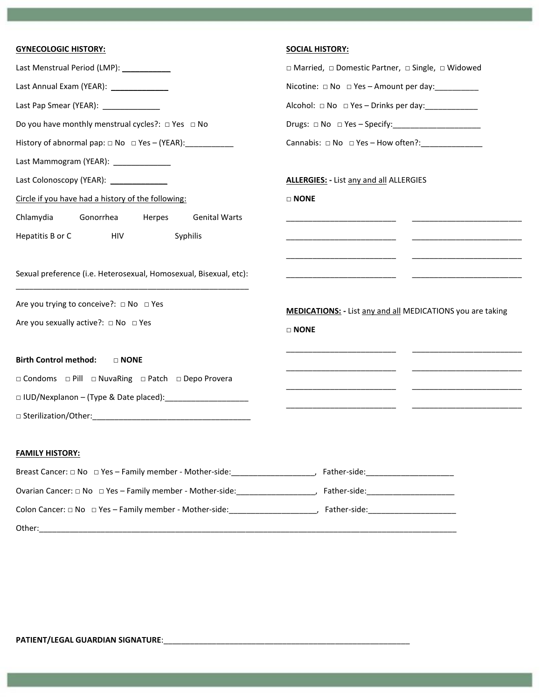| <b>GYNECOLOGIC HISTORY:</b>                                                                                           | <b>SOCIAL HISTORY:</b>                                                                                  |  |
|-----------------------------------------------------------------------------------------------------------------------|---------------------------------------------------------------------------------------------------------|--|
| Last Menstrual Period (LMP): ____________                                                                             | □ Married, □ Domestic Partner, □ Single, □ Widowed                                                      |  |
| Last Annual Exam (YEAR): _______________                                                                              | Nicotine: □ No □ Yes - Amount per day: _________                                                        |  |
| Last Pap Smear (YEAR): ______________                                                                                 | Alcohol: □ No □ Yes - Drinks per day: ______________                                                    |  |
| Do you have monthly menstrual cycles?: $\Box$ Yes $\Box$ No                                                           | Drugs: $\Box$ No $\Box$ Yes - Specify: ______________________                                           |  |
| History of abnormal pap: $\Box$ No $\Box$ Yes - (YEAR):                                                               | Cannabis: $\Box$ No $\Box$ Yes - How often?:                                                            |  |
| Last Mammogram (YEAR): ______________                                                                                 |                                                                                                         |  |
| Last Colonoscopy (YEAR): ______________                                                                               | <b>ALLERGIES:</b> - List any and all ALLERGIES                                                          |  |
| Circle if you have had a history of the following:                                                                    | $\square$ NONE                                                                                          |  |
| Chlamydia<br>Gonorrhea<br>Herpes<br><b>Genital Warts</b>                                                              |                                                                                                         |  |
| Hepatitis B or C<br>Syphilis<br>HIV                                                                                   |                                                                                                         |  |
|                                                                                                                       |                                                                                                         |  |
| Sexual preference (i.e. Heterosexual, Homosexual, Bisexual, etc):                                                     | <u> 1980 - Jan Stein Berlin, amerikansk politiker (</u><br><u>and the second contract of the second</u> |  |
| Are you trying to conceive?: □ No □ Yes                                                                               |                                                                                                         |  |
| Are you sexually active?: $\Box$ No $\Box$ Yes                                                                        | MEDICATIONS: - List any and all MEDICATIONS you are taking                                              |  |
|                                                                                                                       | $\Box$ NONE                                                                                             |  |
| <b>Birth Control method:</b><br>$\Box$ NONE                                                                           |                                                                                                         |  |
| □ Condoms □ Pill □ NuvaRing □ Patch □ Depo Provera                                                                    |                                                                                                         |  |
| □ IUD/Nexplanon - (Type & Date placed):                                                                               |                                                                                                         |  |
|                                                                                                                       |                                                                                                         |  |
| <b>FAMILY HISTORY:</b>                                                                                                |                                                                                                         |  |
| Breast Cancer: □ No □ Yes - Family member - Mother-side: _______________________, Father-side: ______________________ |                                                                                                         |  |
| Ovarian Cancer: □ No □ Yes - Family member - Mother-side: ____________________, Father-side: ________________________ |                                                                                                         |  |
|                                                                                                                       |                                                                                                         |  |
| Other:                                                                                                                |                                                                                                         |  |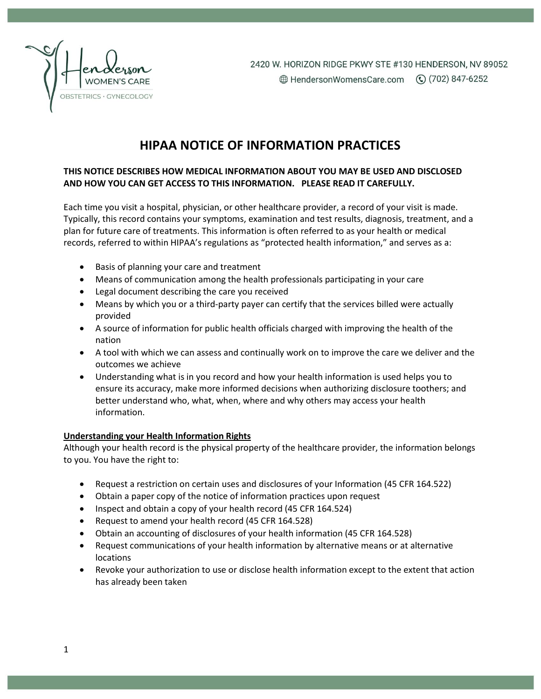

### **HIPAA NOTICE OF INFORMATION PRACTICES**

#### **THIS NOTICE DESCRIBES HOW MEDICAL INFORMATION ABOUT YOU MAY BE USED AND DISCLOSED AND HOW YOU CAN GET ACCESS TO THIS INFORMATION. PLEASE READ IT CAREFULLY.**

Each time you visit a hospital, physician, or other healthcare provider, a record of your visit is made. Typically, this record contains your symptoms, examination and test results, diagnosis, treatment, and a plan for future care of treatments. This information is often referred to as your health or medical records, referred to within HIPAA's regulations as "protected health information," and serves as a:

- Basis of planning your care and treatment
- Means of communication among the health professionals participating in your care
- Legal document describing the care you received
- Means by which you or a third-party payer can certify that the services billed were actually provided
- A source of information for public health officials charged with improving the health of the nation
- A tool with which we can assess and continually work on to improve the care we deliver and the outcomes we achieve
- Understanding what is in you record and how your health information is used helps you to ensure its accuracy, make more informed decisions when authorizing disclosure toothers; and better understand who, what, when, where and why others may access your health information.

#### **Understanding your Health Information Rights**

Although your health record is the physical property of the healthcare provider, the information belongs to you. You have the right to:

- Request a restriction on certain uses and disclosures of your Information (45 CFR 164.522)
- Obtain a paper copy of the notice of information practices upon request
- Inspect and obtain a copy of your health record (45 CFR 164.524)
- Request to amend your health record (45 CFR 164.528)
- Obtain an accounting of disclosures of your health information (45 CFR 164.528)
- Request communications of your health information by alternative means or at alternative locations
- Revoke your authorization to use or disclose health information except to the extent that action has already been taken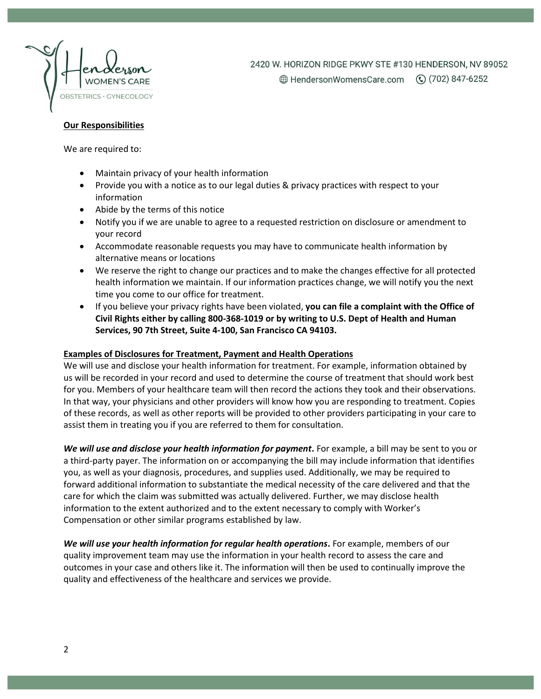

2420 W. HORIZON RIDGE PKWY STE #130 HENDERSON, NV 89052

#### **Our Responsibilities**

We are required to:

- Maintain privacy of your health information
- Provide you with a notice as to our legal duties & privacy practices with respect to your information
- Abide by the terms of this notice
- Notify you if we are unable to agree to a requested restriction on disclosure or amendment to your record
- Accommodate reasonable requests you may have to communicate health information by alternative means or locations
- We reserve the right to change our practices and to make the changes effective for all protected health information we maintain. If our information practices change, we will notify you the next time you come to our office for treatment.
- If you believe your privacy rights have been violated, **you can file a complaint with the Office of Civil Rights either by calling 800-368-1019 or by writing to U.S. Dept of Health and Human Services, 90 7th Street, Suite 4-100, San Francisco CA 94103.**

#### **Examples of Disclosures for Treatment, Payment and Health Operations**

We will use and disclose your health information for treatment. For example, information obtained by us will be recorded in your record and used to determine the course of treatment that should work best for you. Members of your healthcare team will then record the actions they took and their observations. In that way, your physicians and other providers will know how you are responding to treatment. Copies of these records, as well as other reports will be provided to other providers participating in your care to assist them in treating you if you are referred to them for consultation.

*We will use and disclose your health information for payment***.** For example, a bill may be sent to you or a third-party payer. The information on or accompanying the bill may include information that identifies you, as well as your diagnosis, procedures, and supplies used. Additionally, we may be required to forward additional information to substantiate the medical necessity of the care delivered and that the care for which the claim was submitted was actually delivered. Further, we may disclose health information to the extent authorized and to the extent necessary to comply with Worker's Compensation or other similar programs established by law.

*We will use your health information for regular health operations***.** For example, members of our quality improvement team may use the information in your health record to assess the care and outcomes in your case and others like it. The information will then be used to continually improve the quality and effectiveness of the healthcare and services we provide.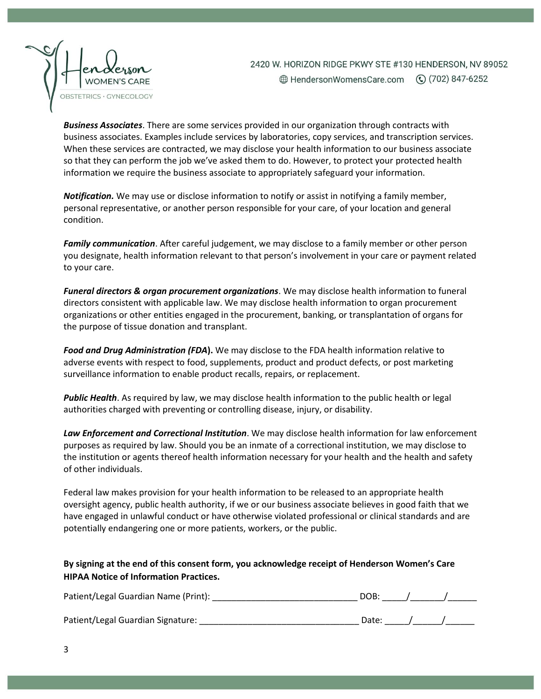

2420 W. HORIZON RIDGE PKWY STE #130 HENDERSON, NV 89052 

*Business Associates*. There are some services provided in our organization through contracts with business associates. Examples include services by laboratories, copy services, and transcription services. When these services are contracted, we may disclose your health information to our business associate so that they can perform the job we've asked them to do. However, to protect your protected health information we require the business associate to appropriately safeguard your information.

*Notification.* We may use or disclose information to notify or assist in notifying a family member, personal representative, or another person responsible for your care, of your location and general condition.

*Family communication*. After careful judgement, we may disclose to a family member or other person you designate, health information relevant to that person's involvement in your care or payment related to your care.

*Funeral directors & organ procurement organizations*. We may disclose health information to funeral directors consistent with applicable law. We may disclose health information to organ procurement organizations or other entities engaged in the procurement, banking, or transplantation of organs for the purpose of tissue donation and transplant.

*Food and Drug Administration (FDA***).** We may disclose to the FDA health information relative to adverse events with respect to food, supplements, product and product defects, or post marketing surveillance information to enable product recalls, repairs, or replacement.

*Public Health*. As required by law, we may disclose health information to the public health or legal authorities charged with preventing or controlling disease, injury, or disability.

*Law Enforcement and Correctional Institution*. We may disclose health information for law enforcement purposes as required by law. Should you be an inmate of a correctional institution, we may disclose to the institution or agents thereof health information necessary for your health and the health and safety of other individuals.

Federal law makes provision for your health information to be released to an appropriate health oversight agency, public health authority, if we or our business associate believes in good faith that we have engaged in unlawful conduct or have otherwise violated professional or clinical standards and are potentially endangering one or more patients, workers, or the public.

#### **By signing at the end of this consent form, you acknowledge receipt of Henderson Women's Care HIPAA Notice of Information Practices.**

| Patient/Legal Guardian Name (Print): | DOB:  |  |
|--------------------------------------|-------|--|
| Patient/Legal Guardian Signature:    | Date: |  |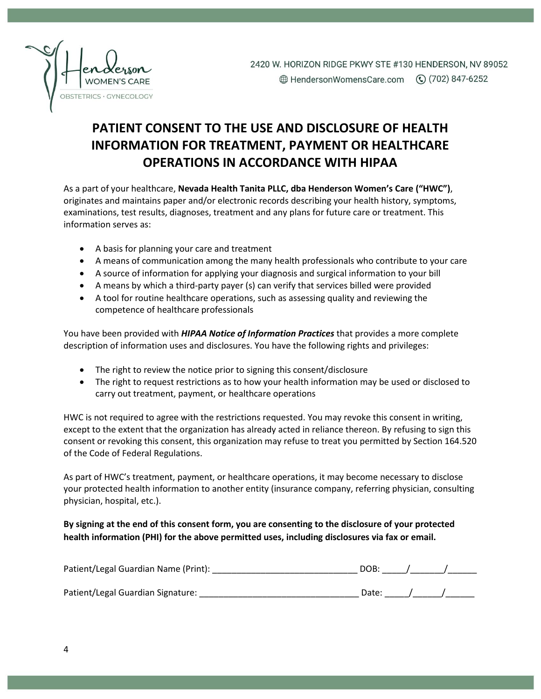

## **PATIENT CONSENT TO THE USE AND DISCLOSURE OF HEALTH INFORMATION FOR TREATMENT, PAYMENT OR HEALTHCARE OPERATIONS IN ACCORDANCE WITH HIPAA**

As a part of your healthcare, **Nevada Health Tanita PLLC, dba Henderson Women's Care ("HWC")**, originates and maintains paper and/or electronic records describing your health history, symptoms, examinations, test results, diagnoses, treatment and any plans for future care or treatment. This information serves as:

- A basis for planning your care and treatment
- A means of communication among the many health professionals who contribute to your care
- A source of information for applying your diagnosis and surgical information to your bill
- A means by which a third-party payer (s) can verify that services billed were provided
- A tool for routine healthcare operations, such as assessing quality and reviewing the competence of healthcare professionals

You have been provided with *HIPAA Notice of Information Practices* that provides a more complete description of information uses and disclosures. You have the following rights and privileges:

- The right to review the notice prior to signing this consent/disclosure
- The right to request restrictions as to how your health information may be used or disclosed to carry out treatment, payment, or healthcare operations

HWC is not required to agree with the restrictions requested. You may revoke this consent in writing, except to the extent that the organization has already acted in reliance thereon. By refusing to sign this consent or revoking this consent, this organization may refuse to treat you permitted by Section 164.520 of the Code of Federal Regulations.

As part of HWC's treatment, payment, or healthcare operations, it may become necessary to disclose your protected health information to another entity (insurance company, referring physician, consulting physician, hospital, etc.).

### **By signing at the end of this consent form, you are consenting to the disclosure of your protected health information (PHI) for the above permitted uses, including disclosures via fax or email.**

| Patient/Legal Guardian Name (Print): | DOB:  |  |
|--------------------------------------|-------|--|
| Patient/Legal Guardian Signature:    | Date: |  |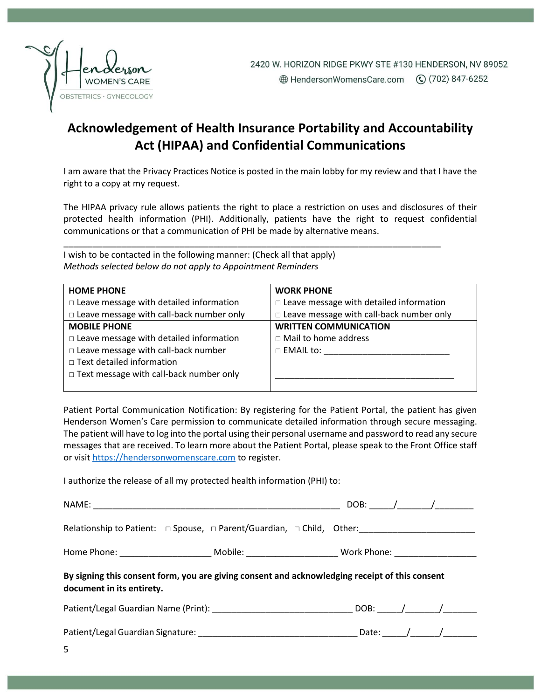

## **Acknowledgement of Health Insurance Portability and Accountability Act (HIPAA) and Confidential Communications**

I am aware that the Privacy Practices Notice is posted in the main lobby for my review and that I have the right to a copy at my request.

The HIPAA privacy rule allows patients the right to place a restriction on uses and disclosures of their protected health information (PHI). Additionally, patients have the right to request confidential communications or that a communication of PHI be made by alternative means.

\_\_\_\_\_\_\_\_\_\_\_\_\_\_\_\_\_\_\_\_\_\_\_\_\_\_\_\_\_\_\_\_\_\_\_\_\_\_\_\_\_\_\_\_\_\_\_\_\_\_\_\_\_\_\_\_\_\_\_\_\_\_\_\_\_\_\_\_\_\_\_\_\_\_\_\_\_\_

I wish to be contacted in the following manner: (Check all that apply) *Methods selected below do not apply to Appointment Reminders*

| <b>HOME PHONE</b>                               | <b>WORK PHONE</b>                               |
|-------------------------------------------------|-------------------------------------------------|
| $\Box$ Leave message with detailed information  | $\Box$ Leave message with detailed information  |
| $\Box$ Leave message with call-back number only | $\Box$ Leave message with call-back number only |
| <b>MOBILE PHONE</b>                             | <b>WRITTEN COMMUNICATION</b>                    |
| $\Box$ Leave message with detailed information  | $\Box$ Mail to home address                     |
| $\Box$ Leave message with call-back number      | $\Box$ EMAIL to:                                |
| $\Box$ Text detailed information                |                                                 |
| $\Box$ Text message with call-back number only  |                                                 |
|                                                 |                                                 |

Patient Portal Communication Notification: By registering for the Patient Portal, the patient has given Henderson Women's Care permission to communicate detailed information through secure messaging. The patient will have to log into the portal using their personal username and password to read any secure messages that are received. To learn more about the Patient Portal, please speak to the Front Office staff or visi[t https://hendersonwomenscare.com](https://hendersonwomenscare.com/) to register.

I authorize the release of all my protected health information (PHI) to:

|                                                                                                                             | Home Phone: ____________________________ Mobile: ______________________________Work Phone: ___________________ |  |  |  |  |
|-----------------------------------------------------------------------------------------------------------------------------|----------------------------------------------------------------------------------------------------------------|--|--|--|--|
| By signing this consent form, you are giving consent and acknowledging receipt of this consent<br>document in its entirety. |                                                                                                                |  |  |  |  |
|                                                                                                                             | Patient/Legal Guardian Name (Print): ___________________________________DOB: _____/________/__________________ |  |  |  |  |
|                                                                                                                             |                                                                                                                |  |  |  |  |
| 5.                                                                                                                          |                                                                                                                |  |  |  |  |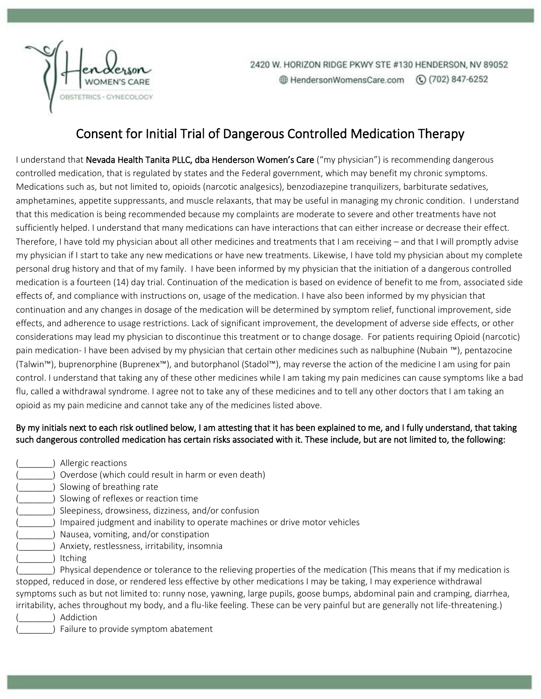

2420 W. HORIZON RIDGE PKWY STE #130 HENDERSON, NV 89052 HendersonWomensCare.com (c) (702) 847-6252

### Consent for Initial Trial of Dangerous Controlled Medication Therapy

I understand that Nevada Health Tanita PLLC, dba Henderson Women's Care ("my physician") is recommending dangerous controlled medication, that is regulated by states and the Federal government, which may benefit my chronic symptoms. Medications such as, but not limited to, opioids (narcotic analgesics), benzodiazepine tranquilizers, barbiturate sedatives, amphetamines, appetite suppressants, and muscle relaxants, that may be useful in managing my chronic condition. I understand that this medication is being recommended because my complaints are moderate to severe and other treatments have not sufficiently helped. I understand that many medications can have interactions that can either increase or decrease their effect. Therefore, I have told my physician about all other medicines and treatments that I am receiving – and that I will promptly advise my physician if I start to take any new medications or have new treatments. Likewise, I have told my physician about my complete personal drug history and that of my family. I have been informed by my physician that the initiation of a dangerous controlled medication is a fourteen (14) day trial. Continuation of the medication is based on evidence of benefit to me from, associated side effects of, and compliance with instructions on, usage of the medication. I have also been informed by my physician that continuation and any changes in dosage of the medication will be determined by symptom relief, functional improvement, side effects, and adherence to usage restrictions. Lack of significant improvement, the development of adverse side effects, or other considerations may lead my physician to discontinue this treatment or to change dosage. For patients requiring Opioid (narcotic) pain medication- I have been advised by my physician that certain other medicines such as nalbuphine (Nubain ™), pentazocine (Talwin™), buprenorphine (Buprenex™), and butorphanol (Stadol™), may reverse the action of the medicine I am using for pain control. I understand that taking any of these other medicines while I am taking my pain medicines can cause symptoms like a bad flu, called a withdrawal syndrome. I agree not to take any of these medicines and to tell any other doctors that I am taking an opioid as my pain medicine and cannot take any of the medicines listed above.

### By my initials next to each risk outlined below, I am attesting that it has been explained to me, and I fully understand, that taking such dangerous controlled medication has certain risks associated with it. These include, but are not limited to, the following:

- ) Allergic reactions
- (2) Overdose (which could result in harm or even death)
- ) Slowing of breathing rate
- (\_\_\_\_\_\_\_) Slowing of reflexes or reaction time
- ) Sleepiness, drowsiness, dizziness, and/or confusion
- (2) Impaired judgment and inability to operate machines or drive motor vehicles
- (\_\_\_\_\_\_\_) Nausea, vomiting, and/or constipation
- (\_\_\_\_\_\_\_) Anxiety, restlessness, irritability, insomnia
- ) Itching

) Physical dependence or tolerance to the relieving properties of the medication (This means that if my medication is stopped, reduced in dose, or rendered less effective by other medications I may be taking, I may experience withdrawal symptoms such as but not limited to: runny nose, yawning, large pupils, goose bumps, abdominal pain and cramping, diarrhea, irritability, aches throughout my body, and a flu-like feeling. These can be very painful but are generally not life-threatening.)

) Addiction

) Failure to provide symptom abatement